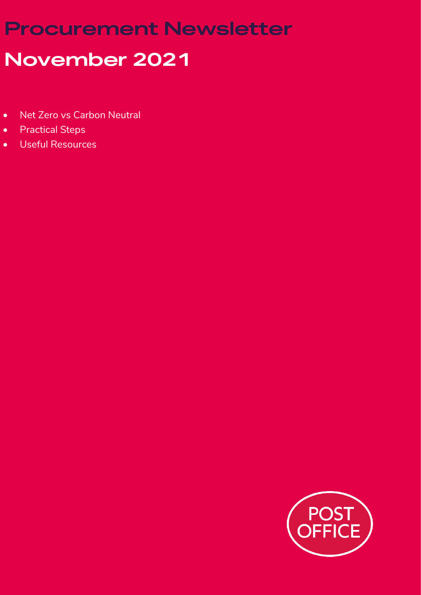# **Procurement Newsletter November 2021**

- Net Zero vs Carbon Neutral
- Practical Steps
- Useful Resources

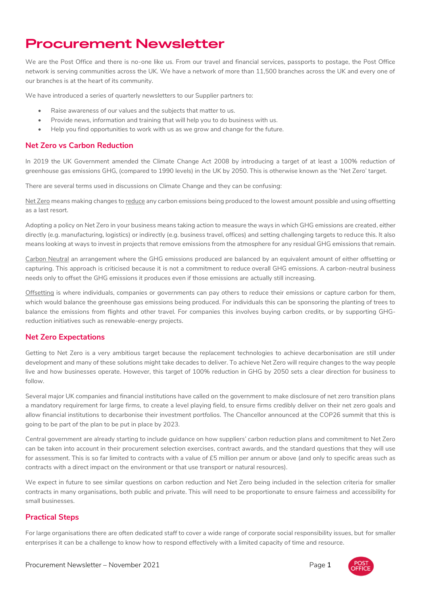## **Procurement Newsletter**

We are the Post Office and there is no-one like us. From our travel and financial services, passports to postage, the Post Office network is serving communities across the UK. We have a network of more than 11,500 branches across the UK and every one of our branches is at the heart of its community.

We have introduced a series of quarterly newsletters to our Supplier partners to:

- Raise awareness of our values and the subjects that matter to us.
- Provide news, information and training that will help you to do business with us.
- Help you find opportunities to work with us as we grow and change for the future.

#### **Net Zero vs Carbon Reduction**

In 2019 the UK Government amended the Climate Change Act 2008 by introducing a target of at least a 100% reduction of greenhouse gas emissions GHG, (compared to 1990 levels) in the UK by 2050. This is otherwise known as the 'Net Zero' target.

There are several terms used in discussions on Climate Change and they can be confusing:

Net Zero means making changes to reduce any carbon emissions being produced to the lowest amount possible and using offsetting as a last resort.

Adopting a policy on Net Zero in your business means taking action to measure the ways in which GHG emissions are created, either directly (e.g. manufacturing, logistics) or indirectly (e.g. business travel, offices) and setting challenging targets to reduce this. It also means looking at ways to invest in projects that remove emissions from the atmosphere for any residual GHG emissions that remain.

Carbon Neutral an arrangement where the GHG emissions produced are balanced by an equivalent amount of either offsetting or capturing. This approach is criticised because it is not a commitment to reduce overall GHG emissions. A carbon-neutral business needs only to offset the GHG emissions it produces even if those emissions are actually still increasing.

Offsetting is where individuals, companies or governments can pay others to reduce their emissions or capture carbon for them, which would balance the greenhouse gas emissions being produced. For individuals this can be sponsoring the planting of trees to balance the emissions from flights and other travel. For companies this involves buying carbon credits, or by supporting GHGreduction initiatives such as renewable-energy projects.

### **Net Zero Expectations**

Getting to Net Zero is a very ambitious target because the replacement technologies to achieve decarbonisation are still under development and many of these solutions might take decades to deliver. To achieve Net Zero will require changes to the way people live and how businesses operate. However, this target of 100% reduction in GHG by 2050 sets a clear direction for business to follow.

Several major UK companies and financial institutions have called on the government to make disclosure of net zero transition plans a mandatory requirement for large firms, to create a level playing field, to ensure firms credibly deliver on their net zero goals and allow financial institutions to decarbonise their investment portfolios. The Chancellor announced at the COP26 summit that this is going to be part of the plan to be put in place by 2023.

Central government are already starting to include guidance on how suppliers' carbon reduction plans and commitment to Net Zero can be taken into account in their procurement selection exercises, contract awards, and the standard questions that they will use for assessment. This is so far limited to contracts with a value of £5 million per annum or above (and only to specific areas such as contracts with a direct impact on the environment or that use transport or natural resources).

We expect in future to see similar questions on carbon reduction and Net Zero being included in the selection criteria for smaller contracts in many organisations, both public and private. This will need to be proportionate to ensure fairness and accessibility for small businesses.

### **Practical Steps**

For large organisations there are often dedicated staff to cover a wide range of corporate social responsibility issues, but for smaller enterprises it can be a challenge to know how to respond effectively with a limited capacity of time and resource.